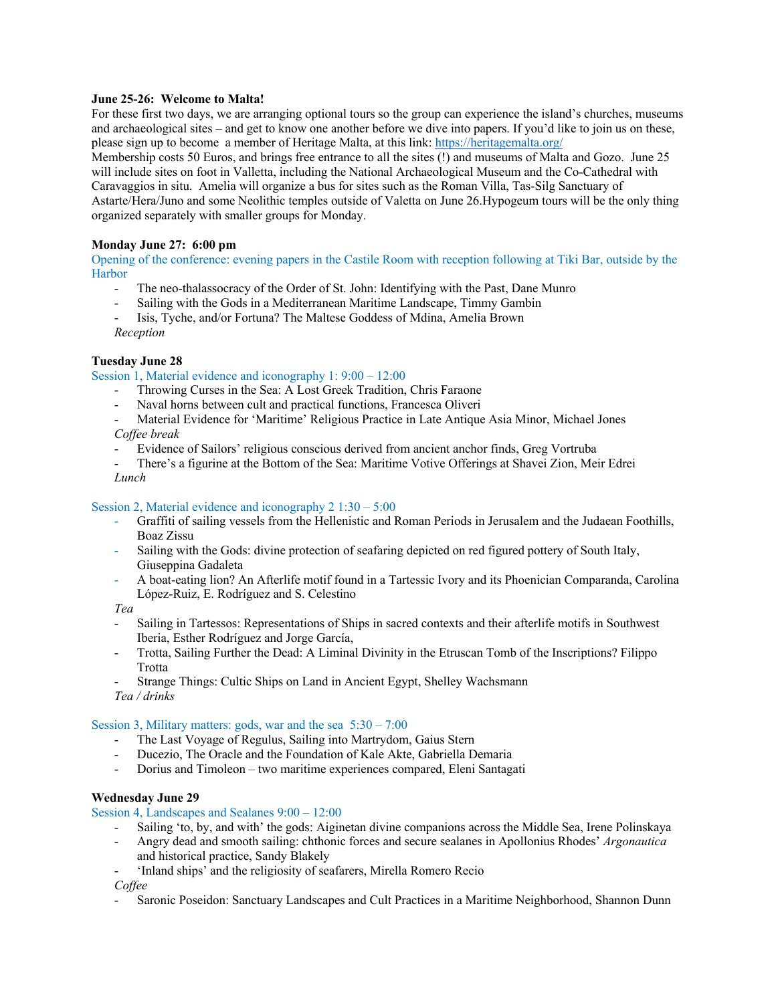# **June 25-26: Welcome to Malta!**

For these first two days, we are arranging optional tours so the group can experience the island's churches, museums and archaeological sites – and get to know one another before we dive into papers. If you'd like to join us on these, please sign up to become a member of Heritage Malta, at this link: https://heritagemalta.org/

Membership costs 50 Euros, and brings free entrance to all the sites (!) and museums of Malta and Gozo. June 25 will include sites on foot in Valletta, including the National Archaeological Museum and the Co-Cathedral with Caravaggios in situ. Amelia will organize a bus for sites such as the Roman Villa, Tas-Silg Sanctuary of Astarte/Hera/Juno and some Neolithic temples outside of Valetta on June 26.Hypogeum tours will be the only thing organized separately with smaller groups for Monday.

## **Monday June 27: 6:00 pm**

Opening of the conference: evening papers in the Castile Room with reception following at Tiki Bar, outside by the Harbor

- The neo-thalassocracy of the Order of St. John: Identifying with the Past, Dane Munro
- Sailing with the Gods in a Mediterranean Maritime Landscape, Timmy Gambin
- Isis, Tyche, and/or Fortuna? The Maltese Goddess of Mdina, Amelia Brown *Reception*

## **Tuesday June 28**

Session 1, Material evidence and iconography 1: 9:00 – 12:00

- Throwing Curses in the Sea: A Lost Greek Tradition, Chris Faraone
- Naval horns between cult and practical functions, Francesca Oliveri

- Material Evidence for 'Maritime' Religious Practice in Late Antique Asia Minor, Michael Jones *Coffee break*

- Evidence of Sailors' religious conscious derived from ancient anchor finds, Greg Vortruba
- There's a figurine at the Bottom of the Sea: Maritime Votive Offerings at Shavei Zion, Meir Edrei *Lunch*

#### Session 2, Material evidence and iconography 2 1:30 – 5:00

- Graffiti of sailing vessels from the Hellenistic and Roman Periods in Jerusalem and the Judaean Foothills, Boaz Zissu
- Sailing with the Gods: divine protection of seafaring depicted on red figured pottery of South Italy, Giuseppina Gadaleta
- A boat-eating lion? An Afterlife motif found in a Tartessic Ivory and its Phoenician Comparanda, Carolina López-Ruiz, E. Rodríguez and S. Celestino

*Tea*

- Sailing in Tartessos: Representations of Ships in sacred contexts and their afterlife motifs in Southwest Iberia, Esther Rodríguez and Jorge García,
- Trotta, Sailing Further the Dead: A Liminal Divinity in the Etruscan Tomb of the Inscriptions? Filippo Trotta
- Strange Things: Cultic Ships on Land in Ancient Egypt, Shelley Wachsmann *Tea / drinks*

#### Session 3, Military matters: gods, war and the sea 5:30 – 7:00

- The Last Voyage of Regulus, Sailing into Martrydom, Gaius Stern
- Ducezio, The Oracle and the Foundation of Kale Akte, Gabriella Demaria
- Dorius and Timoleon two maritime experiences compared, Eleni Santagati

#### **Wednesday June 29**

Session 4, Landscapes and Sealanes 9:00 – 12:00

- Sailing 'to, by, and with' the gods: Aiginetan divine companions across the Middle Sea, Irene Polinskaya
- Angry dead and smooth sailing: chthonic forces and secure sealanes in Apollonius Rhodes' *Argonautica*  and historical practice, Sandy Blakely
- 'Inland ships' and the religiosity of seafarers, Mirella Romero Recio

*Coffee*

- Saronic Poseidon: Sanctuary Landscapes and Cult Practices in a Maritime Neighborhood, Shannon Dunn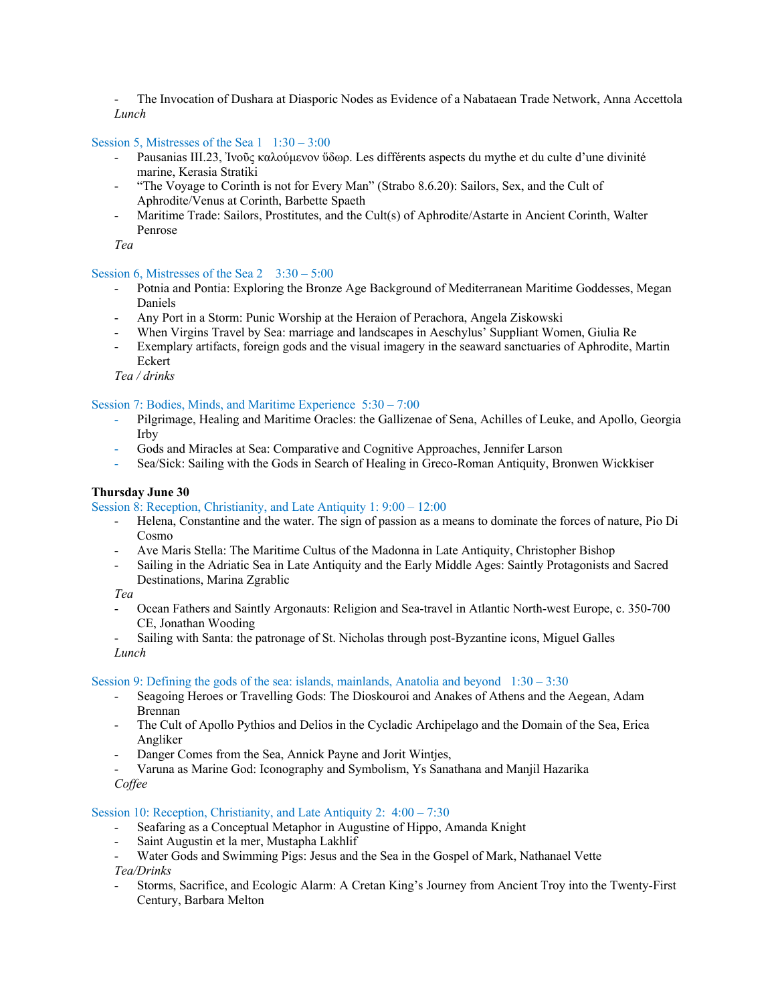- The Invocation of Dushara at Diasporic Nodes as Evidence of a Nabataean Trade Network, Anna Accettola *Lunch*

# Session 5, Mistresses of the Sea  $1 \quad 1:30 - 3:00$

- Pausanias III.23, Ἰνοῦς καλούμενον ὕδωρ. Les différents aspects du mythe et du culte d'une divinité marine, Kerasia Stratiki
- "The Voyage to Corinth is not for Every Man" (Strabo 8.6.20): Sailors, Sex, and the Cult of Aphrodite/Venus at Corinth, Barbette Spaeth
- Maritime Trade: Sailors, Prostitutes, and the Cult(s) of Aphrodite/Astarte in Ancient Corinth, Walter Penrose

*Tea*

#### Session 6, Mistresses of the Sea  $2 \quad 3:30 - 5:00$

- Potnia and Pontia: Exploring the Bronze Age Background of Mediterranean Maritime Goddesses, Megan Daniels
- Any Port in a Storm: Punic Worship at the Heraion of Perachora, Angela Ziskowski
- When Virgins Travel by Sea: marriage and landscapes in Aeschylus' Suppliant Women, Giulia Re
- Exemplary artifacts, foreign gods and the visual imagery in the seaward sanctuaries of Aphrodite, Martin Eckert

*Tea / drinks*

## Session 7: Bodies, Minds, and Maritime Experience 5:30 – 7:00

- Pilgrimage, Healing and Maritime Oracles: the Gallizenae of Sena, Achilles of Leuke, and Apollo, Georgia Irby
- Gods and Miracles at Sea: Comparative and Cognitive Approaches, Jennifer Larson
- Sea/Sick: Sailing with the Gods in Search of Healing in Greco-Roman Antiquity, Bronwen Wickkiser

## **Thursday June 30**

#### Session 8: Reception, Christianity, and Late Antiquity 1: 9:00 – 12:00

- Helena, Constantine and the water. The sign of passion as a means to dominate the forces of nature, Pio Di Cosmo
- Ave Maris Stella: The Maritime Cultus of the Madonna in Late Antiquity, Christopher Bishop
- Sailing in the Adriatic Sea in Late Antiquity and the Early Middle Ages: Saintly Protagonists and Sacred Destinations, Marina Zgrablic

*Tea*

- Ocean Fathers and Saintly Argonauts: Religion and Sea-travel in Atlantic North-west Europe, c. 350-700 CE, Jonathan Wooding
- Sailing with Santa: the patronage of St. Nicholas through post-Byzantine icons, Miguel Galles *Lunch*

#### Session 9: Defining the gods of the sea: islands, mainlands, Anatolia and beyond  $1:30 - 3:30$

- Seagoing Heroes or Travelling Gods: The Dioskouroi and Anakes of Athens and the Aegean, Adam Brennan
- The Cult of Apollo Pythios and Delios in the Cycladic Archipelago and the Domain of the Sea, Erica Angliker
- Danger Comes from the Sea, Annick Payne and Jorit Wintjes,
- Varuna as Marine God: Iconography and Symbolism, Ys Sanathana and Manjil Hazarika

*Coffee*

#### Session 10: Reception, Christianity, and Late Antiquity 2: 4:00 – 7:30

- Seafaring as a Conceptual Metaphor in Augustine of Hippo, Amanda Knight
- Saint Augustin et la mer, Mustapha Lakhlif
- Water Gods and Swimming Pigs: Jesus and the Sea in the Gospel of Mark, Nathanael Vette *Tea/Drinks*
- Storms, Sacrifice, and Ecologic Alarm: A Cretan King's Journey from Ancient Troy into the Twenty-First Century, Barbara Melton